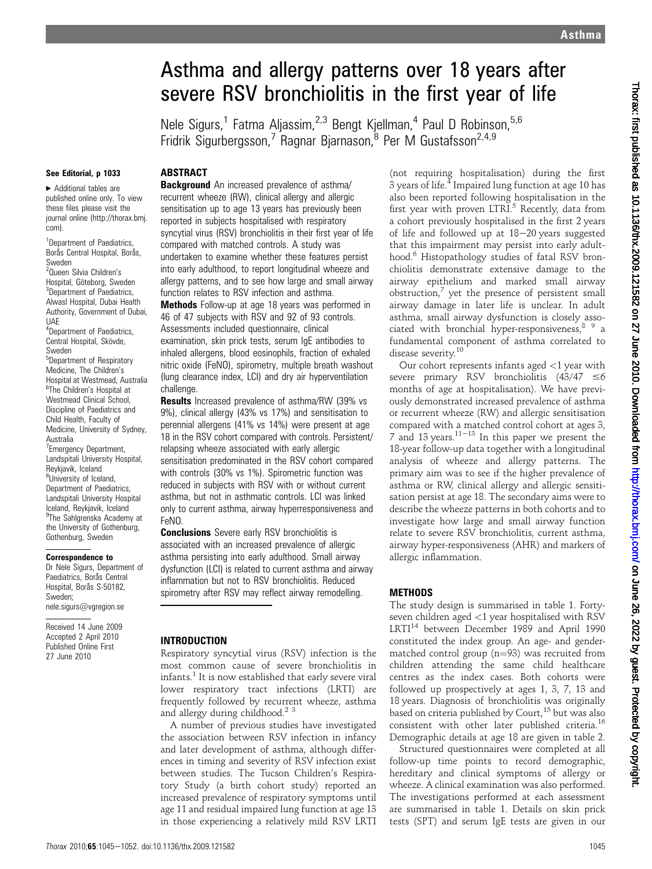# Asthma and allergy patterns over 18 years after severe RSV bronchiolitis in the first year of life

Nele Sigurs,<sup>1</sup> Fatma Aljassim,<sup>2,3</sup> Bengt Kjellman,<sup>4</sup> Paul D Robinson,<sup>5,6</sup> Fridrik Sigurbergsson,<sup>7</sup> Ragnar Bjarnason,<sup>8</sup> Per M Gustafsson<sup>2,4,9</sup>

#### See Editorial, p 1033

# **ABSTRACT**

▶ Additional tables are published online only. To view these files please visit the journal online (http://thorax.bmj. com).

<sup>1</sup>Department of Paediatrics, Borås Central Hospital, Borås, Sweden

<sup>2</sup>Queen Silvia Children's Hospital, Göteborg, Sweden <sup>3</sup>Department of Paediatrics, Alwasl Hospital, Dubai Health Authority, Government of Dubai, UAE

4 Department of Paediatrics, Central Hospital, Skövde, Sweden

5 Department of Respiratory Medicine, The Children's Hospital at Westmead, Australia <sup>6</sup>The Children's Hospital at Westmead Clinical School, Discipline of Paediatrics and Child Health, Faculty of Medicine, University of Sydney, Australia <sup>7</sup> Emergency Department, Landspitali University Hospital, Reykjavik, Iceland <sup>8</sup>University of Iceland, Department of Paediatrics, Landspitali University Hospital Iceland, Reykjavik, Iceland <sup>9</sup>The Sahlgrenska Academy at the University of Gothenburg,

# Gothenburg, Sweden Correspondence to

Dr Nele Sigurs, Department of Paediatrics, Boras Central Hospital, Borås S-50182, Sweden; nele.sigurs@vgregion.se

Received 14 June 2009 Accepted 2 April 2010 Published Online First 27 June 2010

**Background** An increased prevalence of asthma/ recurrent wheeze (RW), clinical allergy and allergic sensitisation up to age 13 years has previously been reported in subjects hospitalised with respiratory syncytial virus (RSV) bronchiolitis in their first year of life compared with matched controls. A study was undertaken to examine whether these features persist into early adulthood, to report longitudinal wheeze and allergy patterns, and to see how large and small airway function relates to RSV infection and asthma.

Methods Follow-up at age 18 years was performed in 46 of 47 subjects with RSV and 92 of 93 controls. Assessments included questionnaire, clinical examination, skin prick tests, serum IgE antibodies to inhaled allergens, blood eosinophils, fraction of exhaled nitric oxide (FeNO), spirometry, multiple breath washout (lung clearance index, LCI) and dry air hyperventilation challenge.

Results Increased prevalence of asthma/RW (39% vs 9%), clinical allergy (43% vs 17%) and sensitisation to perennial allergens (41% vs 14%) were present at age 18 in the RSV cohort compared with controls. Persistent/ relapsing wheeze associated with early allergic sensitisation predominated in the RSV cohort compared with controls (30% vs 1%). Spirometric function was reduced in subjects with RSV with or without current asthma, but not in asthmatic controls. LCI was linked only to current asthma, airway hyperresponsiveness and FeNO.

**Conclusions** Severe early RSV bronchiolitis is associated with an increased prevalence of allergic asthma persisting into early adulthood. Small airway dysfunction (LCI) is related to current asthma and airway inflammation but not to RSV bronchiolitis. Reduced spirometry after RSV may reflect airway remodelling.

#### INTRODUCTION

Respiratory syncytial virus (RSV) infection is the most common cause of severe bronchiolitis in infants.<sup>1</sup> It is now established that early severe viral lower respiratory tract infections (LRTI) are frequently followed by recurrent wheeze, asthma and allergy during childhood.<sup>2</sup><sup>3</sup>

A number of previous studies have investigated the association between RSV infection in infancy and later development of asthma, although differences in timing and severity of RSV infection exist between studies. The Tucson Children's Respiratory Study (a birth cohort study) reported an increased prevalence of respiratory symptoms until age 11 and residual impaired lung function at age 13 in those experiencing a relatively mild RSV LRTI

(not requiring hospitalisation) during the first 3 years of life.<sup>4</sup> Impaired lung function at age 10 has also been reported following hospitalisation in the first year with proven LTRI.<sup>5</sup> Recently, data from a cohort previously hospitalised in the first 2 years of life and followed up at  $18-20$  years suggested that this impairment may persist into early adulthood.<sup>6</sup> Histopathology studies of fatal RSV bronchiolitis demonstrate extensive damage to the airway epithelium and marked small airway obstruction, $\frac{7}{7}$  yet the presence of persistent small airway damage in later life is unclear. In adult asthma, small airway dysfunction is closely associated with bronchial hyper-responsiveness, <sup>8</sup> <sup>9</sup> a fundamental component of asthma correlated to disease severity.<sup>10</sup>

Our cohort represents infants aged <1 year with severe primary RSV bronchiolitis  $(43/47 \le 6$ months of age at hospitalisation). We have previously demonstrated increased prevalence of asthma or recurrent wheeze (RW) and allergic sensitisation compared with a matched control cohort at ages 3, 7 and 13 years.<sup>11–13</sup> In this paper we present the 18-year follow-up data together with a longitudinal analysis of wheeze and allergy patterns. The primary aim was to see if the higher prevalence of asthma or RW, clinical allergy and allergic sensitisation persist at age 18. The secondary aims were to describe the wheeze patterns in both cohorts and to investigate how large and small airway function relate to severe RSV bronchiolitis, current asthma, airway hyper-responsiveness (AHR) and markers of allergic inflammation.

#### METHODS

The study design is summarised in table 1. Fortyseven children aged <1 year hospitalised with RSV LRTI<sup>14</sup> between December 1989 and April 1990 constituted the index group. An age- and gendermatched control group ( $n=93$ ) was recruited from children attending the same child healthcare centres as the index cases. Both cohorts were followed up prospectively at ages 1, 3, 7, 13 and 18 years. Diagnosis of bronchiolitis was originally based on criteria published by Court,<sup>15</sup> but was also consistent with other later published criteria.<sup>16</sup> Demographic details at age 18 are given in table 2.

Structured questionnaires were completed at all follow-up time points to record demographic, hereditary and clinical symptoms of allergy or wheeze. A clinical examination was also performed. The investigations performed at each assessment are summarised in table 1. Details on skin prick tests (SPT) and serum IgE tests are given in our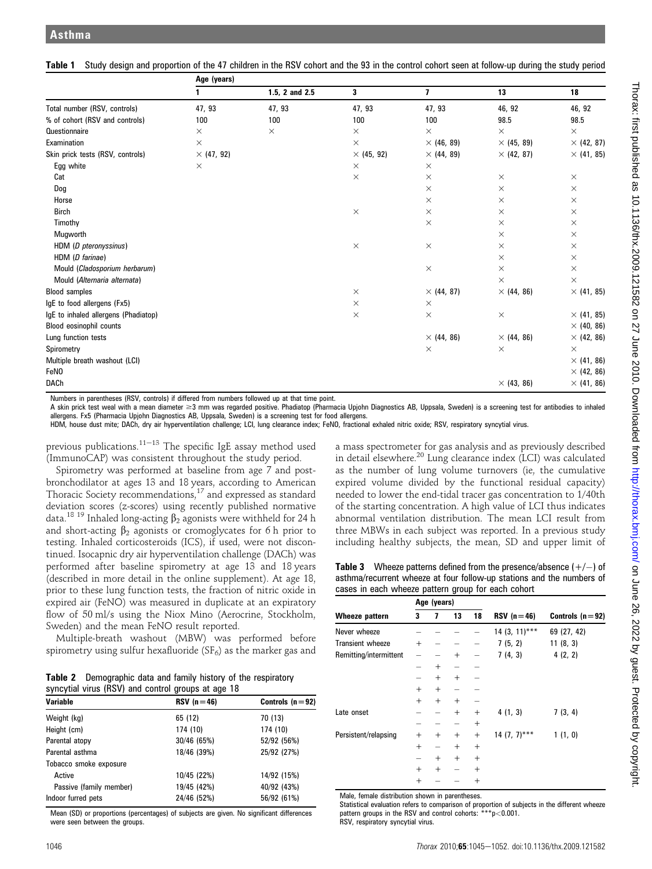|                                      | Age (years)       |                |                   |                         |                   |                   |  |  |
|--------------------------------------|-------------------|----------------|-------------------|-------------------------|-------------------|-------------------|--|--|
|                                      |                   | 1.5, 2 and 2.5 | 3                 | $\overline{\mathbf{z}}$ | 13                | 18                |  |  |
| Total number (RSV, controls)         | 47, 93            | 47, 93         | 47, 93            | 47, 93                  | 46, 92            | 46, 92            |  |  |
| % of cohort (RSV and controls)       | 100               | 100            | 100               | 100                     | 98.5              | 98.5              |  |  |
| Questionnaire                        | $\times$          | $\times$       | $\times$          | $\times$                | $\times$          | $\times$          |  |  |
| Examination                          | $\times$          |                | X                 | $\times$ (46, 89)       | $\times$ (45, 89) | $\times$ (42, 87) |  |  |
| Skin prick tests (RSV, controls)     | $\times$ (47, 92) |                | $\times$ (45, 92) | $\times$ (44, 89)       | $\times$ (42, 87) | $\times$ (41, 85) |  |  |
| Egg white                            | $\times$          |                | $\times$          | $\times$                |                   |                   |  |  |
| Cat                                  |                   |                | $\times$          | $\times$                | $\times$          | $\times$          |  |  |
| Dog                                  |                   |                |                   | $\times$                | $\times$          | $\times$          |  |  |
| Horse                                |                   |                |                   | $\times$                | $\times$          | $\times$          |  |  |
| <b>Birch</b>                         |                   |                | $\times$          | $\times$                | $\times$          | $\times$          |  |  |
| Timothy                              |                   |                |                   | $\times$                | $\times$          | $\times$          |  |  |
| Mugworth                             |                   |                |                   |                         | $\times$          | $\times$          |  |  |
| HDM (D pteronyssinus)                |                   |                | $\times$          | $\times$                | $\times$          | $\times$          |  |  |
| HDM (D farinae)                      |                   |                |                   |                         | $\times$          | $\times$          |  |  |
| Mould (Cladosporium herbarum)        |                   |                |                   | $\times$                | $\times$          | $\times$          |  |  |
| Mould (Alternaria alternata)         |                   |                |                   |                         | $\times$          | $\times$          |  |  |
| <b>Blood samples</b>                 |                   |                | $\times$          | $\times$ (44, 87)       | $\times$ (44, 86) | $\times$ (41, 85) |  |  |
| IgE to food allergens (Fx5)          |                   |                | $\times$          | $\times$                |                   |                   |  |  |
| IgE to inhaled allergens (Phadiatop) |                   |                | $\times$          | $\times$                | $\times$          | $\times$ (41, 85) |  |  |
| Blood eosinophil counts              |                   |                |                   |                         |                   | $\times$ (40, 86) |  |  |
| Lung function tests                  |                   |                |                   | $\times$ (44, 86)       | $\times$ (44, 86) | $\times$ (42, 86) |  |  |
| Spirometry                           |                   |                |                   | $\times$                | $\times$          | $\times$          |  |  |
| Multiple breath washout (LCI)        |                   |                |                   |                         |                   | $\times$ (41, 86) |  |  |
| <b>FeNO</b>                          |                   |                |                   |                         |                   | $\times$ (42, 86) |  |  |
| <b>DACh</b>                          |                   |                |                   |                         | $\times$ (43, 86) | $\times$ (41, 86) |  |  |

Table 1 Study design and proportion of the 47 children in the RSV cohort and the 93 in the control cohort seen at follow-up during the study period

Numbers in parentheses (RSV, controls) if differed from numbers followed up at that time point.

A skin prick test weal with a mean diameter ≥3 mm was regarded positive. Phadiatop (Pharmacia Upjohn Diagnostics AB, Uppsala, Sweden) is a screening test for antibodies to inhaled allergens. Fx5 (Pharmacia Upjohn Diagnostics AB, Uppsala, Sweden) is a screening test for food allergens.

HDM, house dust mite; DACh, dry air hyperventilation challenge; LCI, lung clearance index; FeNO, fractional exhaled nitric oxide; RSV, respiratory syncytial virus.

previous publications.<sup>11–13</sup> The specific IgE assay method used (ImmunoCAP) was consistent throughout the study period.

Spirometry was performed at baseline from age 7 and postbronchodilator at ages 13 and 18 years, according to American Thoracic Society recommendations,<sup>17</sup> and expressed as standard deviation scores (z-scores) using recently published normative data.<sup>18 19</sup> Inhaled long-acting  $\beta_2$  agonists were withheld for 24 h and short-acting  $\beta_2$  agonists or cromoglycates for 6 h prior to testing. Inhaled corticosteroids (ICS), if used, were not discontinued. Isocapnic dry air hyperventilation challenge (DACh) was performed after baseline spirometry at age 13 and 18 years (described in more detail in the online supplement). At age 18, prior to these lung function tests, the fraction of nitric oxide in expired air (FeNO) was measured in duplicate at an expiratory flow of 50 ml/s using the Niox Mino (Aerocrine, Stockholm, Sweden) and the mean FeNO result reported.

Multiple-breath washout (MBW) was performed before spirometry using sulfur hexafluoride ( $SF<sub>6</sub>$ ) as the marker gas and

| <b>Table 2</b> Demographic data and family history of the respiratory |
|-----------------------------------------------------------------------|
| syncytial virus (RSV) and control groups at age 18                    |

| <b>Variable</b>         | $RSV(n=46)$ | Controls $(n=92)$ |
|-------------------------|-------------|-------------------|
| Weight (kg)             | 65 (12)     | 70 (13)           |
| Height (cm)             | 174 (10)    | 174 (10)          |
| Parental atopy          | 30/46 (65%) | 52/92 (56%)       |
| Parental asthma         | 18/46 (39%) | 25/92 (27%)       |
| Tobacco smoke exposure  |             |                   |
| Active                  | 10/45 (22%) | 14/92 (15%)       |
| Passive (family member) | 19/45 (42%) | 40/92 (43%)       |
| Indoor furred pets      | 24/46 (52%) | 56/92 (61%)       |

Mean (SD) or proportions (percentages) of subjects are given. No significant differences were seen between the groups

a mass spectrometer for gas analysis and as previously described in detail elsewhere.<sup>20</sup> Lung clearance index (LCI) was calculated as the number of lung volume turnovers (ie, the cumulative expired volume divided by the functional residual capacity) needed to lower the end-tidal tracer gas concentration to 1/40th of the starting concentration. A high value of LCI thus indicates abnormal ventilation distribution. The mean LCI result from three MBWs in each subject was reported. In a previous study including healthy subjects, the mean, SD and upper limit of

**Table 3** Wheeze patterns defined from the presence/absence  $(+/-)$  of asthma/recurrent wheeze at four follow-up stations and the numbers of cases in each wheeze pattern group for each cohort

|                         | Age (years) |        |        |        |                 |                   |  |  |
|-------------------------|-------------|--------|--------|--------|-----------------|-------------------|--|--|
| Wheeze pattern          | 3           | 7      | 13     | 18     | $RSV(n=46)$     | Controls $(n=92)$ |  |  |
| Never wheeze            |             |        |        |        | $14(3, 11)$ *** | 69 (27, 42)       |  |  |
| <b>Transient wheeze</b> | $^{+}$      |        |        |        | 7(5, 2)         | 11(8, 3)          |  |  |
| Remitting/intermittent  |             |        | $^{+}$ |        | 7(4, 3)         | 4(2, 2)           |  |  |
|                         |             | $^{+}$ |        |        |                 |                   |  |  |
|                         |             | $^{+}$ | $^{+}$ |        |                 |                   |  |  |
|                         | $^{+}$      | $^{+}$ |        |        |                 |                   |  |  |
|                         | $^{+}$      | $^{+}$ | $^{+}$ |        |                 |                   |  |  |
| Late onset              |             |        | $^{+}$ | $^{+}$ | 4(1, 3)         | 7(3, 4)           |  |  |
|                         |             |        |        | $^{+}$ |                 |                   |  |  |
| Persistent/relapsing    | $^{+}$      | $^{+}$ | $^{+}$ | $^{+}$ | $14(7, 7)$ ***  | 1(1, 0)           |  |  |
|                         | $^{+}$      | -      | $^{+}$ | $^+$   |                 |                   |  |  |
|                         |             | $^{+}$ | $^{+}$ | $^{+}$ |                 |                   |  |  |
|                         | $^{+}$      | $^{+}$ |        | $^{+}$ |                 |                   |  |  |
|                         | $^{+}$      |        |        | $^{+}$ |                 |                   |  |  |

Male, female distribution shown in parentheses.

Statistical evaluation refers to comparison of proportion of subjects in the different wheeze pattern groups in the RSV and control cohorts: \*\*\*p<0.001. RSV, respiratory syncytial virus.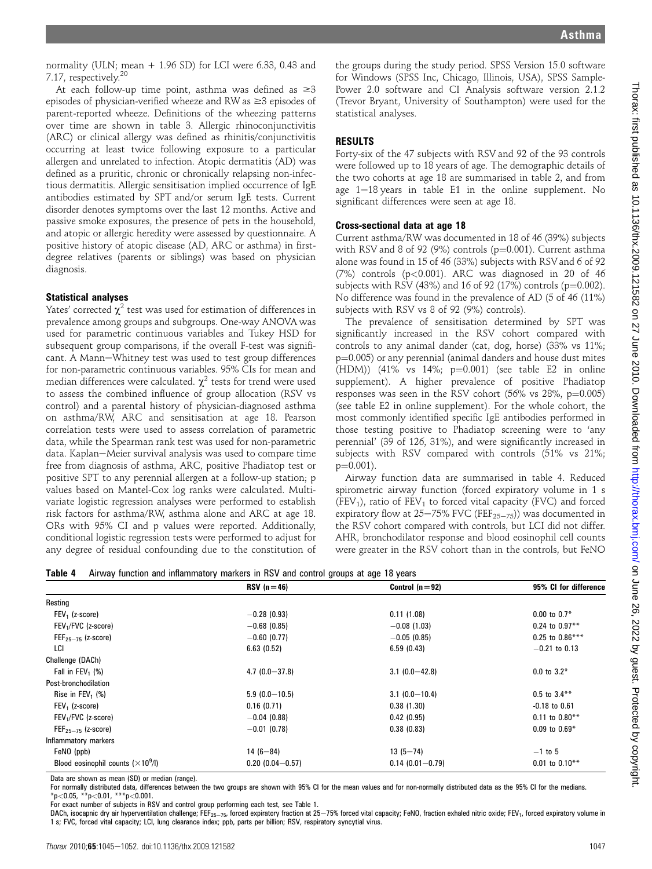normality (ULN; mean + 1.96 SD) for LCI were 6.33, 0.43 and 7.17, respectively.20

At each follow-up time point, asthma was defined as  $\geq 3$ episodes of physician-verified wheeze and RW as  $\geq 3$  episodes of parent-reported wheeze. Definitions of the wheezing patterns over time are shown in table 3. Allergic rhinoconjunctivitis (ARC) or clinical allergy was defined as rhinitis/conjunctivitis occurring at least twice following exposure to a particular allergen and unrelated to infection. Atopic dermatitis (AD) was defined as a pruritic, chronic or chronically relapsing non-infectious dermatitis. Allergic sensitisation implied occurrence of IgE antibodies estimated by SPT and/or serum IgE tests. Current disorder denotes symptoms over the last 12 months. Active and passive smoke exposures, the presence of pets in the household, and atopic or allergic heredity were assessed by questionnaire. A positive history of atopic disease (AD, ARC or asthma) in firstdegree relatives (parents or siblings) was based on physician diagnosis.

#### Statistical analyses

Yates' corrected  $\chi^2$  test was used for estimation of differences in prevalence among groups and subgroups. One-way ANOVA was used for parametric continuous variables and Tukey HSD for subsequent group comparisons, if the overall F-test was significant. A Mann-Whitney test was used to test group differences for non-parametric continuous variables. 95% CIs for mean and median differences were calculated.  $\chi^2$  tests for trend were used to assess the combined influence of group allocation (RSV vs control) and a parental history of physician-diagnosed asthma on asthma/RW, ARC and sensitisation at age 18. Pearson correlation tests were used to assess correlation of parametric data, while the Spearman rank test was used for non-parametric data. Kaplan-Meier survival analysis was used to compare time free from diagnosis of asthma, ARC, positive Phadiatop test or positive SPT to any perennial allergen at a follow-up station; p values based on Mantel-Cox log ranks were calculated. Multivariate logistic regression analyses were performed to establish risk factors for asthma/RW, asthma alone and ARC at age 18. ORs with 95% CI and p values were reported. Additionally, conditional logistic regression tests were performed to adjust for any degree of residual confounding due to the constitution of

the groups during the study period. SPSS Version 15.0 software for Windows (SPSS Inc, Chicago, Illinois, USA), SPSS Sample-Power 2.0 software and CI Analysis software version 2.1.2 (Trevor Bryant, University of Southampton) were used for the statistical analyses.

#### RESULTS

Forty-six of the 47 subjects with RSV and 92 of the 93 controls were followed up to 18 years of age. The demographic details of the two cohorts at age 18 are summarised in table 2, and from age  $1-18$  years in table E1 in the online supplement. No significant differences were seen at age 18.

#### Cross-sectional data at age 18

Current asthma/RW was documented in 18 of 46 (39%) subjects with RSV and 8 of 92 (9%) controls ( $p=0.001$ ). Current asthma alone was found in 15 of 46 (33%) subjects with RSV and 6 of 92  $(7%)$  controls  $(p<0.001)$ . ARC was diagnosed in 20 of 46 subjects with RSV (43%) and 16 of 92 (17%) controls ( $p=0.002$ ). No difference was found in the prevalence of AD (5 of 46 (11%) subjects with RSV vs 8 of 92 (9%) controls).

The prevalence of sensitisation determined by SPT was significantly increased in the RSV cohort compared with controls to any animal dander (cat, dog, horse) (33% vs 11%;  $p=0.005$ ) or any perennial (animal danders and house dust mites (HDM)) (41% vs 14%;  $p=0.001$ ) (see table E2 in online supplement). A higher prevalence of positive Phadiatop responses was seen in the RSV cohort  $(56\% \text{ vs } 28\%, \text{ p} = 0.005)$ (see table E2 in online supplement). For the whole cohort, the most commonly identified specific IgE antibodies performed in those testing positive to Phadiatop screening were to 'any perennial' (39 of 126, 31%), and were significantly increased in subjects with RSV compared with controls (51% vs 21%;  $p=0.001$ ).

Airway function data are summarised in table 4. Reduced spirometric airway function (forced expiratory volume in 1 s (FEV<sub>1</sub>), ratio of FEV<sub>1</sub> to forced vital capacity (FVC) and forced expiratory flow at  $25-75\%$  FVC (FEF<sub>25-75</sub>)) was documented in the RSV cohort compared with controls, but LCI did not differ. AHR, bronchodilator response and blood eosinophil cell counts were greater in the RSV cohort than in the controls, but FeNO

|  | Table 4 Airway function and inflammatory markers in RSV and control groups at age 18 years |  |  |  |  |  |
|--|--------------------------------------------------------------------------------------------|--|--|--|--|--|
|--|--------------------------------------------------------------------------------------------|--|--|--|--|--|

|                                           | $RSV(n=46)$         | Control $(n=92)$    | 95% CI for difference |
|-------------------------------------------|---------------------|---------------------|-----------------------|
| Resting                                   |                     |                     |                       |
| $FEV1$ (z-score)                          | $-0.28(0.93)$       | 0.11(1.08)          | $0.00$ to $0.7*$      |
| FEV <sub>1</sub> /FVC (z-score)           | $-0.68(0.85)$       | $-0.08(1.03)$       | $0.24$ to $0.97**$    |
| $FEF_{25-75}$ (z-score)                   | $-0.60(0.77)$       | $-0.05(0.85)$       | $0.25$ to $0.86***$   |
| LCI                                       | 6.63(0.52)          | 6.59(0.43)          | $-0.21$ to 0.13       |
| Challenge (DACh)                          |                     |                     |                       |
| Fall in FEV <sub>1</sub> $(\%)$           | $4.7(0.0 - 37.8)$   | $3.1(0.0-42.8)$     | $0.0$ to $3.2*$       |
| Post-bronchodilation                      |                     |                     |                       |
| Rise in FEV <sub>1</sub> $(\%)$           | $5.9(0.0-10.5)$     | $3.1(0.0-10.4)$     | $0.5$ to $3.4***$     |
| $FEV1$ (z-score)                          | 0.16(0.71)          | 0.38(1.30)          | $-0.18$ to $0.61$     |
| FEV <sub>1</sub> /FVC (z-score)           | $-0.04$ (0.88)      | 0.42(0.95)          | $0.11$ to $0.80**$    |
| $FEF_{25-75}$ (z-score)                   | $-0.01$ (0.78)      | 0.38(0.83)          | $0.09$ to $0.69*$     |
| Inflammatory markers                      |                     |                     |                       |
| FeNO (ppb)                                | $14(6-84)$          | $13(5 - 74)$        | $-1$ to 5             |
| Blood eosinophil counts $(\times 10^9/1)$ | $0.20(0.04 - 0.57)$ | $0.14(0.01 - 0.79)$ | $0.01$ to $0.10**$    |

Data are shown as mean (SD) or median (range).

For normally distributed data, differences between the two groups are shown with 95% CI for the mean values and for non-normally distributed data as the 95% CI for the medians.  $*p$ <0.05,  $*p$ <0.01,  $***p$ <0.001.

For exact number of subjects in RSV and control group performing each test, see Table 1.

DACh, isocapnic dry air hyperventilation challenge; FEF<sub>25-75</sub>, forced expiratory fraction at 25-75% forced vital capacity; FeNO, fraction exhaled nitric oxide; FEV<sub>1</sub>, forced expiratory volume in 1 s; FVC, forced vital capacity; LCI, lung clearance index; ppb, parts per billion; RSV, respiratory syncytial virus.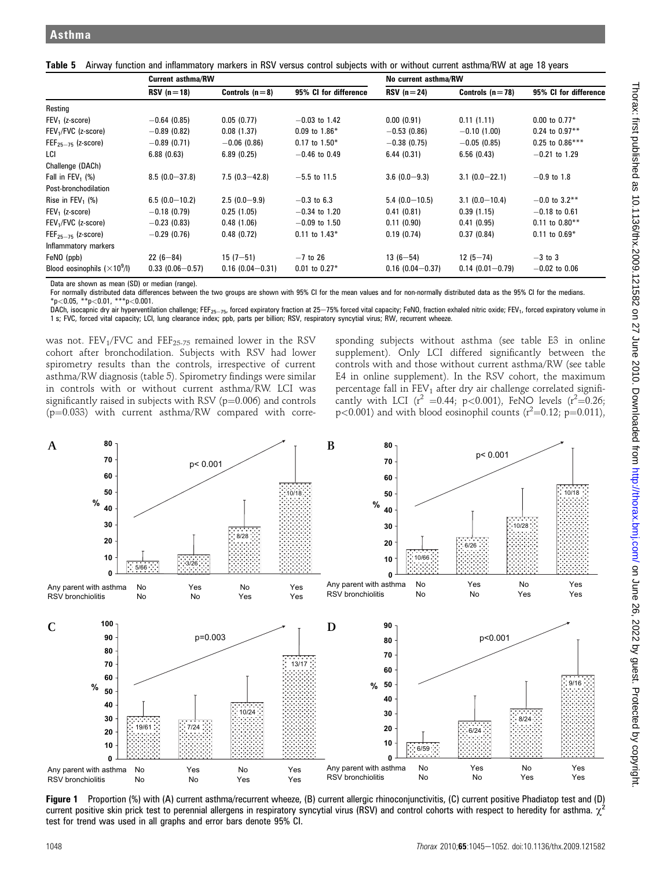|  | Table 5 Airway function and inflammatory markers in RSV versus control subjects with or without current asthma/RW at age 18 years |  |  |  |  |  |  |  |  |
|--|-----------------------------------------------------------------------------------------------------------------------------------|--|--|--|--|--|--|--|--|
|--|-----------------------------------------------------------------------------------------------------------------------------------|--|--|--|--|--|--|--|--|

|                                     | <b>Current asthma/RW</b> |                     |                       | No current asthma/RW |                     |                       |  |
|-------------------------------------|--------------------------|---------------------|-----------------------|----------------------|---------------------|-----------------------|--|
|                                     | $RSV(n=18)$              | Controls $(n=8)$    | 95% CI for difference | $RSV(n=24)$          | Controls $(n=78)$   | 95% CI for difference |  |
| Resting                             |                          |                     |                       |                      |                     |                       |  |
| $FEV1$ (z-score)                    | $-0.64(0.85)$            | 0.05(0.77)          | $-0.03$ to 1.42       | 0.00(0.91)           | 0.11(1.11)          | $0.00$ to $0.77*$     |  |
| FEV <sub>1</sub> /FVC (z-score)     | $-0.89(0.82)$            | 0.08(1.37)          | $0.09$ to $1.86*$     | $-0.53(0.86)$        | $-0.10(1.00)$       | $0.24$ to $0.97**$    |  |
| $FEF25–75$ (z-score)                | $-0.89(0.71)$            | $-0.06$ (0.86)      | $0.17$ to $1.50*$     | $-0.38(0.75)$        | $-0.05(0.85)$       | $0.25$ to $0.86***$   |  |
| LCI                                 | 6.88(0.63)               | 6.89(0.25)          | $-0.46$ to 0.49       | 6.44(0.31)           | 6.56(0.43)          | $-0.21$ to 1.29       |  |
| Challenge (DACh)                    |                          |                     |                       |                      |                     |                       |  |
| Fall in FEV <sub>1</sub> $(\%)$     | $8.5(0.0 - 37.8)$        | $7.5(0.3 - 42.8)$   | $-5.5$ to 11.5        | $3.6(0.0-9.3)$       | $3.1(0.0-22.1)$     | $-0.9$ to 1.8         |  |
| Post-bronchodilation                |                          |                     |                       |                      |                     |                       |  |
| Rise in $FEV_1$ (%)                 | $6.5(0.0-10.2)$          | $2.5(0.0-9.9)$      | $-0.3$ to 6.3         | $5.4(0.0-10.5)$      | $3.1(0.0-10.4)$     | $-0.0$ to 3.2**       |  |
| $FEV1$ (z-score)                    | $-0.18(0.79)$            | 0.25(1.05)          | $-0.34$ to 1.20       | 0.41(0.81)           | 0.39(1.15)          | $-0.18$ to 0.61       |  |
| FEV <sub>1</sub> /FVC (z-score)     | $-0.23(0.83)$            | 0.48(1.06)          | $-0.09$ to 1.50       | 0.11(0.90)           | 0.41(0.95)          | $0.11$ to $0.80**$    |  |
| $FEF_{25-75}$ (z-score)             | $-0.29(0.76)$            | 0.48(0.72)          | $0.11$ to $1.43*$     | 0.19(0.74)           | 0.37(0.84)          | $0.11$ to $0.69*$     |  |
| Inflammatory markers                |                          |                     |                       |                      |                     |                       |  |
| FeNO (ppb)                          | $22(6-84)$               | $15(7 - 51)$        | $-7$ to 26            | $13(6 - 54)$         | $12(5 - 74)$        | $-3$ to 3             |  |
| Blood eosinophils $(\times 10^9/l)$ | $0.33(0.06 - 0.57)$      | $0.16(0.04 - 0.31)$ | $0.01$ to $0.27*$     | $0.16(0.04 - 0.37)$  | $0.14(0.01 - 0.79)$ | $-0.02$ to 0.06       |  |

Data are shown as mean (SD) or median (range).

For normally distributed data differences between the two groups are shown with 95% CI for the mean values and for non-normally distributed data as the 95% CI for the medians.  $*_{p<0.05}$ ,  $*_{p<0.01}$ ,  $*_{*p<0.001}$ .

DACh, isocapnic dry air hyperventilation challenge; FEF<sub>25-75</sub>, forced expiratory fraction at 25-75% forced vital capacity; FeNO, fraction exhaled nitric oxide; FEV<sub>1</sub>, forced expiratory volume in 1 s; FVC, forced vital capacity; LCI, lung clearance index; ppb, parts per billion; RSV, respiratory syncytial virus; RW, recurrent wheeze.

was not.  $FEV_1/FVC$  and  $FEF_{25-75}$  remained lower in the RSV cohort after bronchodilation. Subjects with RSV had lower spirometry results than the controls, irrespective of current asthma/RW diagnosis (table 5). Spirometry findings were similar in controls with or without current asthma/RW. LCI was significantly raised in subjects with RSV ( $p=0.006$ ) and controls  $(p=0.033)$  with current asthma/RW compared with corre-

sponding subjects without asthma (see table E3 in online supplement). Only LCI differed significantly between the controls with and those without current asthma/RW (see table E4 in online supplement). In the RSV cohort, the maximum percentage fall in  $FEV_1$  after dry air challenge correlated significantly with LCI ( $r^2 = 0.44$ ; p<0.001), FeNO levels ( $r^2 = 0.26$ ;  $p<0.001$ ) and with blood eosinophil counts ( $r^2=0.12$ ;  $p=0.011$ ),



Figure 1 Proportion (%) with (A) current asthma/recurrent wheeze, (B) current allergic rhinoconjunctivitis, (C) current positive Phadiatop test and (D) current positive skin prick test to perennial allergens in respiratory syncytial virus (RSV) and control cohorts with respect to heredity for asthma.  $\chi$ test for trend was used in all graphs and error bars denote 95% CI.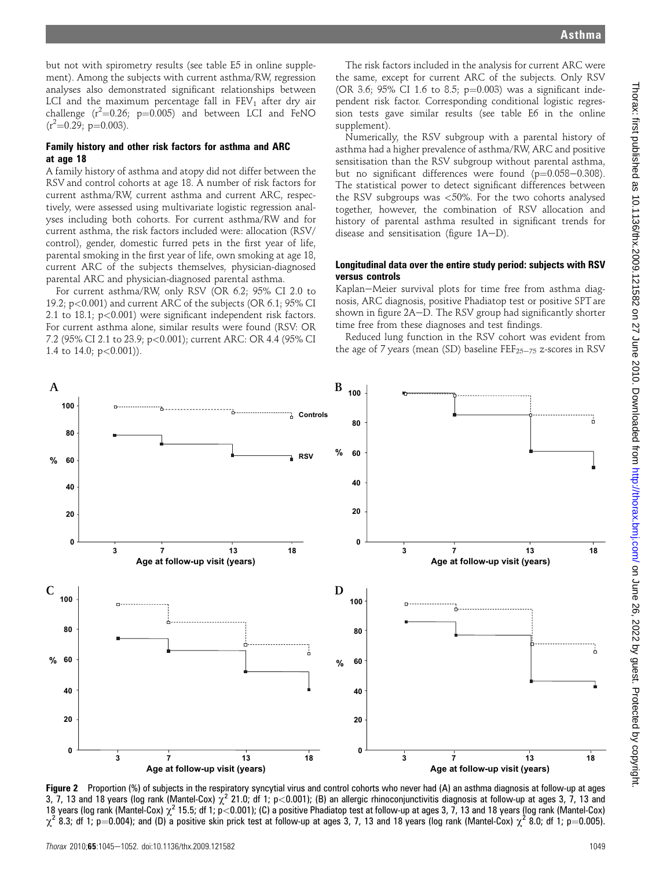but not with spirometry results (see table E5 in online supplement). Among the subjects with current asthma/RW, regression analyses also demonstrated significant relationships between LCI and the maximum percentage fall in  $FEV<sub>1</sub>$  after dry air challenge  $(r^2=0.26; p=0.005)$  and between LCI and FeNO  $(r^2=0.29; p=0.003)$ .

#### Family history and other risk factors for asthma and ARC at age 18

A family history of asthma and atopy did not differ between the RSV and control cohorts at age 18. A number of risk factors for current asthma/RW, current asthma and current ARC, respectively, were assessed using multivariate logistic regression analyses including both cohorts. For current asthma/RW and for current asthma, the risk factors included were: allocation (RSV/ control), gender, domestic furred pets in the first year of life, parental smoking in the first year of life, own smoking at age 18, current ARC of the subjects themselves, physician-diagnosed parental ARC and physician-diagnosed parental asthma.

For current asthma/RW, only RSV (OR 6.2; 95% CI 2.0 to 19.2; p<0.001) and current ARC of the subjects (OR 6.1; 95% CI 2.1 to 18.1; p<0.001) were significant independent risk factors. For current asthma alone, similar results were found (RSV: OR 7.2 (95% CI 2.1 to 23.9; p<0.001); current ARC: OR 4.4 (95% CI 1.4 to 14.0;  $p < 0.001$ )).

The risk factors included in the analysis for current ARC were the same, except for current ARC of the subjects. Only RSV (OR 3.6; 95% CI 1.6 to 8.5;  $p=0.003$ ) was a significant independent risk factor. Corresponding conditional logistic regression tests gave similar results (see table E6 in the online supplement).

Numerically, the RSV subgroup with a parental history of asthma had a higher prevalence of asthma/RW, ARC and positive sensitisation than the RSV subgroup without parental asthma, but no significant differences were found  $(p=0.058-0.308)$ . The statistical power to detect significant differences between the RSV subgroups was <50%. For the two cohorts analysed together, however, the combination of RSV allocation and history of parental asthma resulted in significant trends for disease and sensitisation (figure  $1A-D$ ).

#### Longitudinal data over the entire study period: subjects with RSV versus controls

Kaplan-Meier survival plots for time free from asthma diagnosis, ARC diagnosis, positive Phadiatop test or positive SPT are shown in figure 2A-D. The RSV group had significantly shorter time free from these diagnoses and test findings.

Reduced lung function in the RSV cohort was evident from the age of 7 years (mean (SD) baseline  $\text{FEF}_{25-75}$  z-scores in RSV



Figure 2 Proportion (%) of subjects in the respiratory syncytial virus and control cohorts who never had (A) an asthma diagnosis at follow-up at ages 3, 7, 13 and 18 years (log rank (Mantel-Cox)  $\chi^2$  21.0; df 1; p<0.001); (B) an allergic rhinoconjunctivitis diagnosis at follow-up at ages 3, 7, 13 and 18 years (log rank (Mantel-Cox)  $\chi^2$  15.5; df 1; p<0.001); (C) a positive Phadiatop test at follow-up at ages 3, 7, 13 and 18 years (log rank (Mantel-Cox)  $\chi^2$  8.3; df 1; p=0.004); and (D) a positive skin prick test at follow-up at ages 3, 7, 13 and 18 years (log rank (Mantel-Cox)  $\chi^2$  8.0; df 1; p=0.005).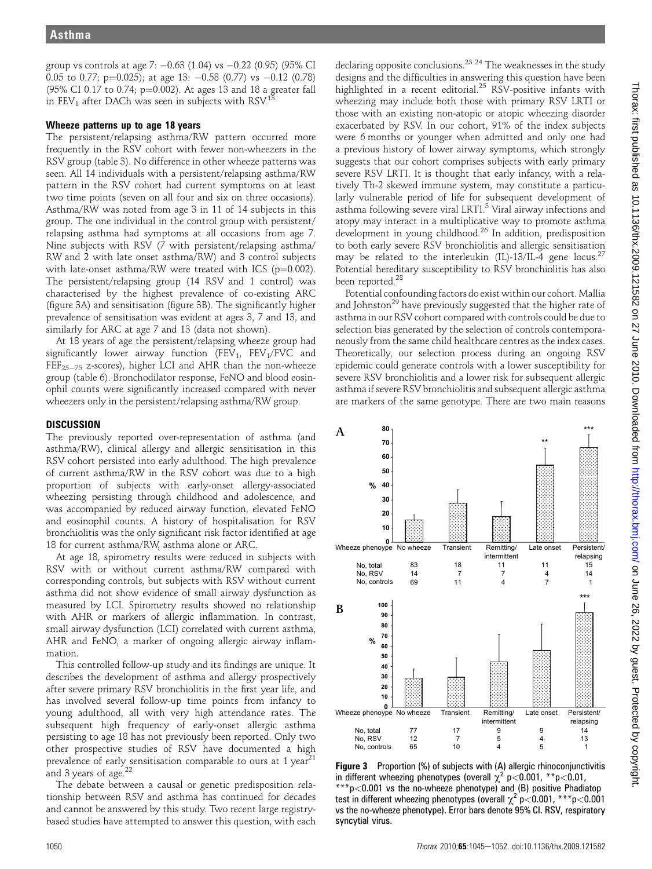group vs controls at age 7: -0.63 (1.04) vs -0.22 (0.95) (95% CI  $0.05$  to  $0.77$ ; p= $0.025$ ); at age 13:  $-0.58$  (0.77) vs  $-0.12$  (0.78)  $(95\% \text{ CI } 0.17 \text{ to } 0.74; \text{ p} = 0.002)$ . At ages 13 and 18 a greater fall in FEV<sub>1</sub> after DACh was seen in subjects with RSV.<sup>13</sup>

#### Wheeze patterns up to age 18 years

The persistent/relapsing asthma/RW pattern occurred more frequently in the RSV cohort with fewer non-wheezers in the RSV group (table 3). No difference in other wheeze patterns was seen. All 14 individuals with a persistent/relapsing asthma/RW pattern in the RSV cohort had current symptoms on at least two time points (seven on all four and six on three occasions). Asthma/RW was noted from age 3 in 11 of 14 subjects in this group. The one individual in the control group with persistent/ relapsing asthma had symptoms at all occasions from age 7. Nine subjects with RSV (7 with persistent/relapsing asthma/ RW and 2 with late onset asthma/RW) and 3 control subjects with late-onset asthma/RW were treated with ICS ( $p=0.002$ ). The persistent/relapsing group (14 RSV and 1 control) was characterised by the highest prevalence of co-existing ARC (figure 3A) and sensitisation (figure 3B). The significantly higher prevalence of sensitisation was evident at ages 3, 7 and 13, and similarly for ARC at age 7 and 13 (data not shown).

At 18 years of age the persistent/relapsing wheeze group had significantly lower airway function (FEV<sub>1</sub>, FEV<sub>1</sub>/FVC and  $FEF_{25-75}$  z-scores), higher LCI and AHR than the non-wheeze group (table 6). Bronchodilator response, FeNO and blood eosinophil counts were significantly increased compared with never wheezers only in the persistent/relapsing asthma/RW group.

## **DISCUSSION**

The previously reported over-representation of asthma (and asthma/RW), clinical allergy and allergic sensitisation in this RSV cohort persisted into early adulthood. The high prevalence of current asthma/RW in the RSV cohort was due to a high proportion of subjects with early-onset allergy-associated wheezing persisting through childhood and adolescence, and was accompanied by reduced airway function, elevated FeNO and eosinophil counts. A history of hospitalisation for RSV bronchiolitis was the only significant risk factor identified at age 18 for current asthma/RW, asthma alone or ARC.

At age 18, spirometry results were reduced in subjects with RSV with or without current asthma/RW compared with corresponding controls, but subjects with RSV without current asthma did not show evidence of small airway dysfunction as measured by LCI. Spirometry results showed no relationship with AHR or markers of allergic inflammation. In contrast, small airway dysfunction (LCI) correlated with current asthma, AHR and FeNO, a marker of ongoing allergic airway inflammation.

This controlled follow-up study and its findings are unique. It describes the development of asthma and allergy prospectively after severe primary RSV bronchiolitis in the first year life, and has involved several follow-up time points from infancy to young adulthood, all with very high attendance rates. The subsequent high frequency of early-onset allergic asthma persisting to age 18 has not previously been reported. Only two other prospective studies of RSV have documented a high prevalence of early sensitisation comparable to ours at 1 year<sup>21</sup> and 3 years of age. $^{22}$ 

The debate between a causal or genetic predisposition relationship between RSV and asthma has continued for decades and cannot be answered by this study. Two recent large registrybased studies have attempted to answer this question, with each

declaring opposite conclusions.<sup>23</sup>  $^{24}$  The weaknesses in the study designs and the difficulties in answering this question have been highlighted in a recent editorial.<sup>25</sup> RSV-positive infants with wheezing may include both those with primary RSV LRTI or those with an existing non-atopic or atopic wheezing disorder exacerbated by RSV. In our cohort, 91% of the index subjects were 6 months or younger when admitted and only one had a previous history of lower airway symptoms, which strongly suggests that our cohort comprises subjects with early primary severe RSV LRTI. It is thought that early infancy, with a relatively Th-2 skewed immune system, may constitute a particularly vulnerable period of life for subsequent development of asthma following severe viral LRTI.<sup>3</sup> Viral airway infections and atopy may interact in a multiplicative way to promote asthma development in young childhood.<sup>26</sup> In addition, predisposition to both early severe RSV bronchiolitis and allergic sensitisation may be related to the interleukin (IL)-13/IL-4 gene locus.<sup>27</sup> Potential hereditary susceptibility to RSV bronchiolitis has also been reported.<sup>28</sup>

Potential confounding factors do exist within our cohort. Mallia and Johnston<sup>29</sup> have previously suggested that the higher rate of asthma in our RSV cohort compared with controls could be due to selection bias generated by the selection of controls contemporaneously from the same child healthcare centres as the index cases. Theoretically, our selection process during an ongoing RSV epidemic could generate controls with a lower susceptibility for severe RSV bronchiolitis and a lower risk for subsequent allergic asthma if severe RSV bronchiolitis and subsequent allergic asthma are markers of the same genotype. There are two main reasons



Figure 3 Proportion (%) of subjects with (A) allergic rhinoconjunctivitis in different wheezing phenotypes (overall  $\chi^2$  p<0.001, \*\*p<0.01, \*\*\*p<0.001 vs the no-wheeze phenotype) and (B) positive Phadiatop test in different wheezing phenotypes (overall  $\chi^2$  p<0.001, \*\*\*p<0.001 vs the no-wheeze phenotype). Error bars denote 95% CI. RSV, respiratory syncytial virus.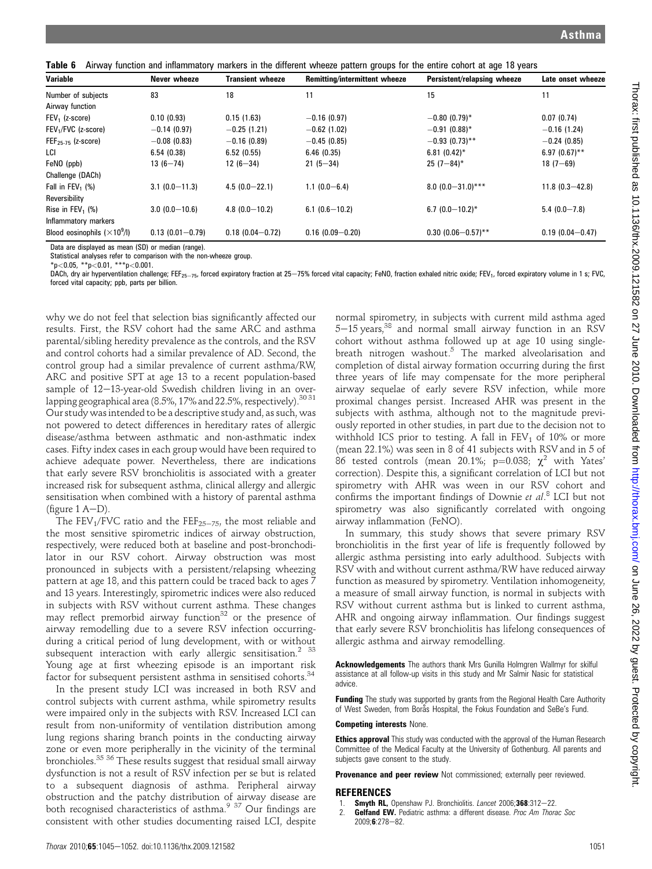Table 6 Airway function and inflammatory markers in the different wheeze pattern groups for the entire cohort at age 18 years

| <b>Variable</b>                     | Never wheeze        | <b>Transient wheeze</b> | Remitting/intermittent wheeze | Persistent/relapsing wheeze | Late onset wheeze   |
|-------------------------------------|---------------------|-------------------------|-------------------------------|-----------------------------|---------------------|
| Number of subjects                  | 83                  | 18                      | 11                            | 15                          | 11                  |
| Airway function                     |                     |                         |                               |                             |                     |
| $FEV1$ (z-score)                    | 0.10(0.93)          | 0.15(1.63)              | $-0.16(0.97)$                 | $-0.80(0.79)$ *             | 0.07(0.74)          |
| FEV <sub>1</sub> /FVC (z-score)     | $-0.14(0.97)$       | $-0.25(1.21)$           | $-0.62$ (1.02)                | $-0.91(0.88)$ *             | $-0.16(1.24)$       |
| $FEF25-75$ (z-score)                | $-0.08(0.83)$       | $-0.16(0.89)$           | $-0.45(0.85)$                 | $-0.93(0.73)$ **            | $-0.24(0.85)$       |
| LCI                                 | 6.54(0.38)          | 6.52(0.55)              | 6.46(0.35)                    | $6.81(0.42)^*$              | $6.97(0.67)$ **     |
| FeNO (ppb)                          | $13(6 - 74)$        | $12(6 - 34)$            | $21(5-34)$                    | $25(7-84)$ *                | $18(7 - 69)$        |
| Challenge (DACh)                    |                     |                         |                               |                             |                     |
| Fall in FEV <sub>1</sub> $(\%)$     | $3.1(0.0 - 11.3)$   | $4.5(0.0 - 22.1)$       | $1.1(0.0 - 6.4)$              | $8.0(0.0-31.0)$ ***         | $11.8(0.3 - 42.8)$  |
| Reversibility                       |                     |                         |                               |                             |                     |
| Rise in $FEV_1$ (%)                 | $3.0(0.0-10.6)$     | $4.8(0.0 - 10.2)$       | $6.1(0.6-10.2)$               | $6.7(0.0-10.2)$ *           | $5.4(0.0 - 7.8)$    |
| Inflammatory markers                |                     |                         |                               |                             |                     |
| Blood eosinophils $(\times 10^9/l)$ | $0.13(0.01 - 0.79)$ | $0.18(0.04 - 0.72)$     | $0.16(0.09 - 0.20)$           | $0.30(0.06 - 0.57)$ **      | $0.19(0.04 - 0.47)$ |

Data are displayed as mean (SD) or median (range).

Statistical analyses refer to comparison with the non-wheeze group. \*p<0.05, \*\*p<0.01, \*\*\*p<0.001.

DACh, dry air hyperventilation challenge; FEF<sub>25-75</sub>, forced expiratory fraction at 25-75% forced vital capacity; FeNO, fraction exhaled nitric oxide; FEV<sub>1</sub>, forced expiratory volume in 1 s; FVC, forced vital capacity; ppb, parts per billion.

why we do not feel that selection bias significantly affected our results. First, the RSV cohort had the same ARC and asthma parental/sibling heredity prevalence as the controls, and the RSV and control cohorts had a similar prevalence of AD. Second, the control group had a similar prevalence of current asthma/RW, ARC and positive SPT at age 13 to a recent population-based sample of  $12-13$ -year-old Swedish children living in an overlapping geographical area (8.5%, 17% and 22.5%, respectively).<sup>3031</sup> Our study was intended to be a descriptive study and, as such, was not powered to detect differences in hereditary rates of allergic disease/asthma between asthmatic and non-asthmatic index cases. Fifty index cases in each group would have been required to achieve adequate power. Nevertheless, there are indications that early severe RSV bronchiolitis is associated with a greater increased risk for subsequent asthma, clinical allergy and allergic sensitisation when combined with a history of parental asthma (figure  $1$  A-D).

The FEV<sub>1</sub>/FVC ratio and the FEF<sub>25-75</sub>, the most reliable and the most sensitive spirometric indices of airway obstruction, respectively, were reduced both at baseline and post-bronchodilator in our RSV cohort. Airway obstruction was most pronounced in subjects with a persistent/relapsing wheezing pattern at age 18, and this pattern could be traced back to ages 7 and 13 years. Interestingly, spirometric indices were also reduced in subjects with RSV without current asthma. These changes may reflect premorbid airway function<sup>32</sup> or the presence of airway remodelling due to a severe RSV infection occurringduring a critical period of lung development, with or without subsequent interaction with early allergic sensitisation.<sup>2</sup> <sup>33</sup> Young age at first wheezing episode is an important risk factor for subsequent persistent asthma in sensitised cohorts.<sup>34</sup>

In the present study LCI was increased in both RSV and control subjects with current asthma, while spirometry results were impaired only in the subjects with RSV. Increased LCI can result from non-uniformity of ventilation distribution among lung regions sharing branch points in the conducting airway zone or even more peripherally in the vicinity of the terminal bronchioles.<sup>35</sup> <sup>36</sup> These results suggest that residual small airway dysfunction is not a result of RSV infection per se but is related to a subsequent diagnosis of asthma. Peripheral airway obstruction and the patchy distribution of airway disease are both recognised characteristics of asthma.<sup>9 37</sup> Our findings are consistent with other studies documenting raised LCI, despite

normal spirometry, in subjects with current mild asthma aged 5-15 years,<sup>38</sup> and normal small airway function in an RSV cohort without asthma followed up at age 10 using singlebreath nitrogen washout.<sup>5</sup> The marked alveolarisation and completion of distal airway formation occurring during the first three years of life may compensate for the more peripheral airway sequelae of early severe RSV infection, while more proximal changes persist. Increased AHR was present in the subjects with asthma, although not to the magnitude previously reported in other studies, in part due to the decision not to withhold ICS prior to testing. A fall in  $FEV<sub>1</sub>$  of 10% or more (mean 22.1%) was seen in 8 of 41 subjects with RSV and in 5 of 86 tested controls (mean 20.1%;  $p=0.038$ ;  $\chi^2$  with Yates' correction). Despite this, a significant correlation of LCI but not spirometry with AHR was ween in our RSV cohort and confirms the important findings of Downie et al. <sup>8</sup> LCI but not spirometry was also significantly correlated with ongoing airway inflammation (FeNO).

In summary, this study shows that severe primary RSV bronchiolitis in the first year of life is frequently followed by allergic asthma persisting into early adulthood. Subjects with RSV with and without current asthma/RW have reduced airway function as measured by spirometry. Ventilation inhomogeneity, a measure of small airway function, is normal in subjects with RSV without current asthma but is linked to current asthma, AHR and ongoing airway inflammation. Our findings suggest that early severe RSV bronchiolitis has lifelong consequences of allergic asthma and airway remodelling.

Acknowledgements The authors thank Mrs Gunilla Holmgren Wallmyr for skilful assistance at all follow-up visits in this study and Mr Salmir Nasic for statistical advice.

**Funding** The study was supported by grants from the Regional Health Care Authority of West Sweden, from Borås Hospital, the Fokus Foundation and SeBe's Fund.

#### Competing interests None.

**Ethics approval** This study was conducted with the approval of the Human Research Committee of the Medical Faculty at the University of Gothenburg. All parents and subjects gave consent to the study.

Provenance and peer review Not commissioned; externally peer reviewed.

#### REFERENCES

- 1. **Smyth RL,** Openshaw PJ. Bronchiolitis. *Lancet* 2006;368:312-22.<br>2 **Gelfand FW.** Pediatric asthma: a different disease. *Proc. Am. Thora*
- Gelfand EW. Pediatric asthma: a different disease. Proc Am Thorac Soc 2009:6:278-82.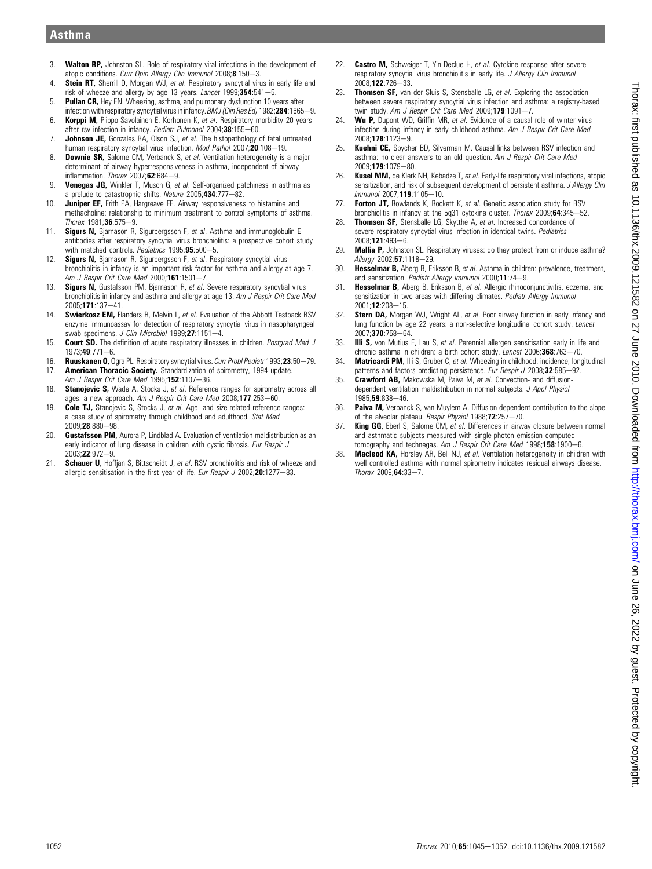- 3. Walton RP, Johnston SL. Role of respiratory viral infections in the development of atopic conditions. Curr Opin Allergy Clin Immunol 2008;8:150-3.
- 4. Stein RT, Sherrill D, Morgan WJ, et al. Respiratory syncytial virus in early life and risk of wheeze and allergy by age 13 years. Lancet  $1999,354.541-5$ .
- 5. Pullan CR, Hey EN. Wheezing, asthma, and pulmonary dysfunction 10 years after infection with respiratory syncytial virus in infancy. BMJ (Clin Res Ed) 1982;284:1665-9.
- 6. **Korppi M, Piippo-Savolainen E, Korhonen K, et al. Respiratory morbidity 20 years** after rsv infection in infancy. Pediatr Pulmonol 2004;38:155-60.
- 7. **Johnson JE,** Gonzales RA, Olson SJ, et al. The histopathology of fatal untreated human respiratory syncytial virus infection. Mod Pathol 2007; $\overline{20}$ :108-19.
- 8. **Downie SR,** Salome CM, Verbanck S, et al. Ventilation heterogeneity is a major determinant of airway hyperresponsiveness in asthma, independent of airway inflammation. Thorax  $2007;62:684-9$ .
- 9. Venegas JG, Winkler T, Musch G, et al. Self-organized patchiness in asthma as a prelude to catastrophic shifts. Nature  $2005:434:777-82$ .
- 10. Juniper EF, Frith PA, Hargreave FE. Airway responsiveness to histamine and methacholine: relationship to minimum treatment to control symptoms of asthma.  $Thorax 1981; 36:575-9.$
- 11. Sigurs N, Bjarnason R, Sigurbergsson F, et al. Asthma and immunoglobulin E antibodies after respiratory syncytial virus bronchiolitis: a prospective cohort study with matched controls. Pediatrics 1995;95:500-5.
- 12. Sigurs N, Bjarnason R, Sigurbergsson F, et al. Respiratory syncytial virus bronchiolitis in infancy is an important risk factor for asthma and allergy at age 7. Am J Respir Crit Care Med 2000;161:1501-7.
- 13. **Sigurs N**, Gustafsson PM, Biarnason R, et al. Severe respiratory syncytial virus bronchiolitis in infancy and asthma and allergy at age 13. Am J Respir Crit Care Med 2005:171:137-41
- 14. Swierkosz EM, Flanders R, Melvin L, et al. Evaluation of the Abbott Testpack RSV enzyme immunoassay for detection of respiratory syncytial virus in nasopharyngeal swab specimens. J Clin Microbiol 1989;27:1151-4.
- 15. Court SD. The definition of acute respiratory illnesses in children. Postarad Med J  $1973:49:771-6.$
- 16. **Ruuskanen O,** Ogra PL. Respiratory syncytial virus. *Curr Probl Pediatr* 1993;23:50—79.<br>17. **American Thoracic Society.** Standardization of spirometry. 1994 undate. American Thoracic Society. Standardization of spirometry, 1994 update. Am J Respir Crit Care Med  $1995:152:1107-36$ .
- 18. Stanojevic S, Wade A, Stocks J, et al. Reference ranges for spirometry across all ages: a new approach. Am J Respir Crit Care Med 2008;177:253-60.
- 19. Cole TJ, Stanojevic S, Stocks J, et al. Age- and size-related reference ranges: a case study of spirometry through childhood and adulthood. Stat Med 2009;28:880-98.
- 20. **Gustafsson PM**, Aurora P, Lindblad A. Evaluation of ventilation maldistribution as an early indicator of lung disease in children with cystic fibrosis. Eur Respir J 2003:22:972-9.
- 21. Schauer U, Hoffjan S, Bittscheidt J, et al. RSV bronchiolitis and risk of wheeze and allergic sensitisation in the first year of life. Eur Respir J 2002;20:1277-83.
- 22. Castro M, Schweiger T, Yin-Declue H, et al. Cytokine response after severe respiratory syncytial virus bronchiolitis in early life. J Allergy Clin Immunol 2008;122:726-33.
- 23. Thomsen SF, van der Sluis S, Stensballe LG, et al. Exploring the association between severe respiratory syncytial virus infection and asthma: a registry-based twin study. Am J Respir Crit Care Med 2009;179:1091-7.
- 24. Wu P, Dupont WD, Griffin MR, et al. Evidence of a causal role of winter virus infection during infancy in early childhood asthma. Am J Respir Crit Care Med 2008:**178**:1123-9.
- 25. Kuehni CE, Spycher BD, Silverman M. Causal links between RSV infection and asthma: no clear answers to an old question. Am J Respir Crit Care Med 2009:179:1079-80.
- 26. Kusel MM, de Klerk NH, Kebadze T, et al. Early-life respiratory viral infections, atopic sensitization, and risk of subsequent development of persistent asthma. J Allergy Clin Immunol 2007:119:1105-10.
- 27. Forton JT, Rowlands K, Rockett K, et al. Genetic association study for RSV bronchiolitis in infancy at the 5q31 cytokine cluster. Thorax 2009;64:345-52.
- 28. Thomsen SF, Stensballe LG, Skytthe A, et al. Increased concordance of severe respiratory syncytial virus infection in identical twins. Pediatrics 2008;121:493-6.
- 29. **Mallia P,** Johnston SL. Respiratory viruses: do they protect from or induce asthma? Allergy 2002;57:1118-29.
- 30. Hesselmar B, Aberg B, Eriksson B, et al. Asthma in children: prevalence, treatment, and sensitization. Pediatr Allergy Immunol 2000;11:74-9.
- 31. **Hesselmar B.** Aberg B. Eriksson B. et al. Allergic rhinoconiunctivitis, eczema, and sensitization in two areas with differing climates. Pediatr Allergy Immunol  $2001 \cdot 12 \cdot 208 - 15$
- 32. Stern DA, Morgan WJ, Wright AL, et al. Poor airway function in early infancy and lung function by age 22 years: a non-selective longitudinal cohort study. Lancet 2007:370:758-64.
- 33. **Illi S**, von Mutius E, Lau S, et al. Perennial allergen sensitisation early in life and chronic asthma in children: a birth cohort study. Lancet 2006;368:763-70.
- 34. Matricardi PM, Illi S, Gruber C, et al. Wheezing in childhood: incidence, longitudinal patterns and factors predicting persistence. Eur Respir J 2008;32:585-92.
- 35. **Crawford AB,** Makowska M, Paiva M, et al. Convection- and diffusiondependent ventilation maldistribution in normal subjects. J Appl Physiol  $1985:59:838-46$
- 36. Paiva M, Verbanck S, van Muylem A. Diffusion-dependent contribution to the slope of the alveolar plateau. Respir Physiol 1988;72:257-70.
- 37. **King GG,** Eberl S, Salome CM, et al. Differences in airway closure between normal and asthmatic subjects measured with single-photon emission computed tomography and technegas. Am J Respir Crit Care Med 1998;158:1900-6.
- 38. Macleod KA, Horsley AR, Bell NJ, et al. Ventilation heterogeneity in children with well controlled asthma with normal spirometry indicates residual airways disease.  $Thorax 2009:64:33-7$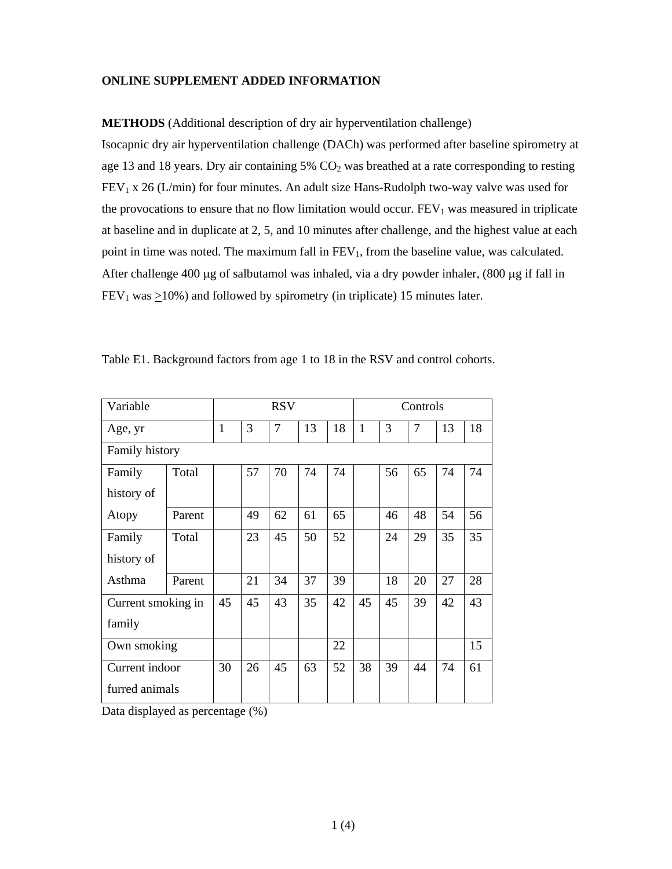## **ONLINE SUPPLEMENT ADDED INFORMATION**

**METHODS** (Additional description of dry air hyperventilation challenge) Isocapnic dry air hyperventilation challenge (DACh) was performed after baseline spirometry at age 13 and 18 years. Dry air containing  $5\%$  CO<sub>2</sub> was breathed at a rate corresponding to resting  $FEV<sub>1</sub>$  x 26 (L/min) for four minutes. An adult size Hans-Rudolph two-way valve was used for the provocations to ensure that no flow limitation would occur.  $FEV<sub>1</sub>$  was measured in triplicate at baseline and in duplicate at 2, 5, and 10 minutes after challenge, and the highest value at each point in time was noted. The maximum fall in  $FEV_1$ , from the baseline value, was calculated. After challenge  $400 \mu$ g of salbutamol was inhaled, via a dry powder inhaler,  $(800 \mu$ g if fall in  $FEV<sub>1</sub>$  was  $\geq$ 10%) and followed by spirometry (in triplicate) 15 minutes later.

| Variable           |        |              |    | <b>RSV</b> |    |    |              |    | Controls       |    |    |
|--------------------|--------|--------------|----|------------|----|----|--------------|----|----------------|----|----|
| Age, yr            |        | $\mathbf{1}$ | 3  | 7          | 13 | 18 | $\mathbf{1}$ | 3  | $\overline{7}$ | 13 | 18 |
| Family history     |        |              |    |            |    |    |              |    |                |    |    |
| Family             | Total  |              | 57 | 70         | 74 | 74 |              | 56 | 65             | 74 | 74 |
| history of         |        |              |    |            |    |    |              |    |                |    |    |
| Atopy              | Parent |              | 49 | 62         | 61 | 65 |              | 46 | 48             | 54 | 56 |
| Family             | Total  |              | 23 | 45         | 50 | 52 |              | 24 | 29             | 35 | 35 |
| history of         |        |              |    |            |    |    |              |    |                |    |    |
| Asthma             | Parent |              | 21 | 34         | 37 | 39 |              | 18 | 20             | 27 | 28 |
| Current smoking in |        | 45           | 45 | 43         | 35 | 42 | 45           | 45 | 39             | 42 | 43 |
| family             |        |              |    |            |    |    |              |    |                |    |    |
| Own smoking        |        |              |    |            |    | 22 |              |    |                |    | 15 |
| Current indoor     |        | 30           | 26 | 45         | 63 | 52 | 38           | 39 | 44             | 74 | 61 |
| furred animals     |        |              |    |            |    |    |              |    |                |    |    |

Table E1. Background factors from age 1 to 18 in the RSV and control cohorts.

Data displayed as percentage (%)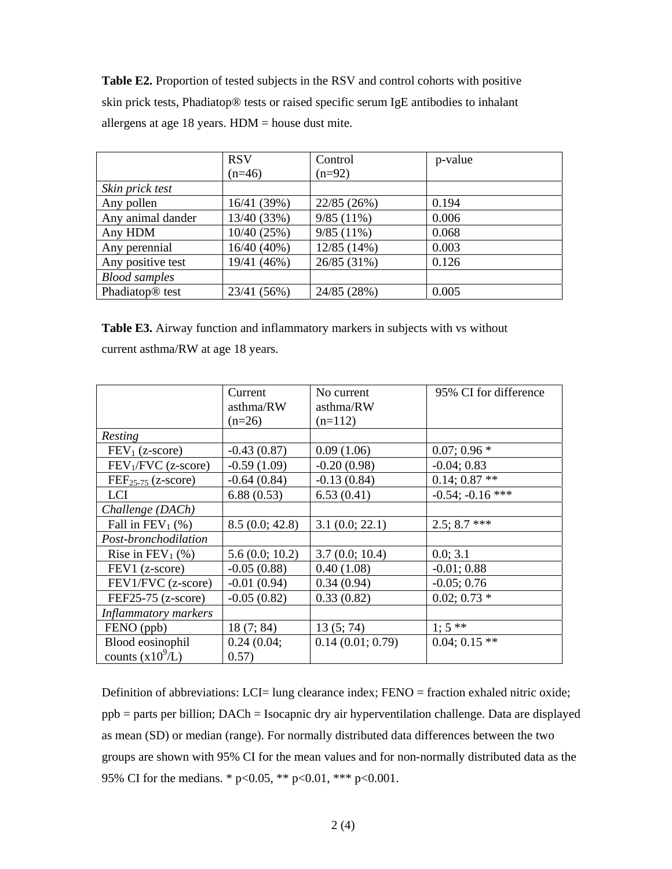**Table E2.** Proportion of tested subjects in the RSV and control cohorts with positive skin prick tests, Phadiatop® tests or raised specific serum IgE antibodies to inhalant allergens at age 18 years.  $HDM =$  house dust mite.

|                             | <b>RSV</b>  | Control      | p-value |
|-----------------------------|-------------|--------------|---------|
|                             | $(n=46)$    | $(n=92)$     |         |
| Skin prick test             |             |              |         |
| Any pollen                  | 16/41 (39%) | 22/85 (26%)  | 0.194   |
| Any animal dander           | 13/40 (33%) | 9/85(11%)    | 0.006   |
| Any HDM                     | 10/40 (25%) | $9/85(11\%)$ | 0.068   |
| Any perennial               | 16/40 (40%) | 12/85 (14%)  | 0.003   |
| Any positive test           | 19/41 (46%) | 26/85 (31%)  | 0.126   |
| <b>Blood</b> samples        |             |              |         |
| Phadiatop <sup>®</sup> test | 23/41 (56%) | 24/85 (28%)  | 0.005   |

**Table E3.** Airway function and inflammatory markers in subjects with vs without current asthma/RW at age 18 years.

|                             | Current        | No current       | 95% CI for difference |
|-----------------------------|----------------|------------------|-----------------------|
|                             | asthma/RW      | asthma/RW        |                       |
|                             | $(n=26)$       | $(n=112)$        |                       |
| Resting                     |                |                  |                       |
| $FEV1$ (z-score)            | $-0.43(0.87)$  | 0.09(1.06)       | $0.07; 0.96*$         |
| $FEV1/FVC$ (z-score)        | $-0.59(1.09)$  | $-0.20(0.98)$    | $-0.04; 0.83$         |
| $FEF25-75$ (z-score)        | $-0.64(0.84)$  | $-0.13(0.84)$    | $0.14; 0.87$ **       |
| <b>LCI</b>                  | 6.88(0.53)     | 6.53(0.41)       | $-0.54; -0.16$ ***    |
| Challenge (DACh)            |                |                  |                       |
| Fall in $FEV_1$ (%)         | 8.5(0.0; 42.8) | 3.1(0.0; 22.1)   | $2.5:8.7***$          |
| Post-bronchodilation        |                |                  |                       |
| Rise in $FEV_1$ (%)         | 5.6(0.0; 10.2) | 3.7(0.0; 10.4)   | 0.0; 3.1              |
| FEV1 (z-score)              | $-0.05(0.88)$  | 0.40(1.08)       | $-0.01; 0.88$         |
| FEV1/FVC (z-score)          | $-0.01(0.94)$  | 0.34(0.94)       | $-0.05; 0.76$         |
| $FEF25-75$ (z-score)        | $-0.05(0.82)$  | 0.33(0.82)       | $0.02; 0.73*$         |
| <b>Inflammatory markers</b> |                |                  |                       |
| FENO (ppb)                  | 18(7; 84)      | 13(5; 74)        | $1:5$ **              |
| Blood eosinophil            | 0.24(0.04;     | 0.14(0.01; 0.79) | $0.04; 0.15$ **       |
| counts $(x10^9/L)$          | 0.57)          |                  |                       |

Definition of abbreviations: LCI= lung clearance index; FENO = fraction exhaled nitric oxide; ppb = parts per billion; DACh = Isocapnic dry air hyperventilation challenge. Data are displayed as mean (SD) or median (range). For normally distributed data differences between the two groups are shown with 95% CI for the mean values and for non-normally distributed data as the 95% CI for the medians. \* p<0.05, \*\* p<0.01, \*\*\* p<0.001.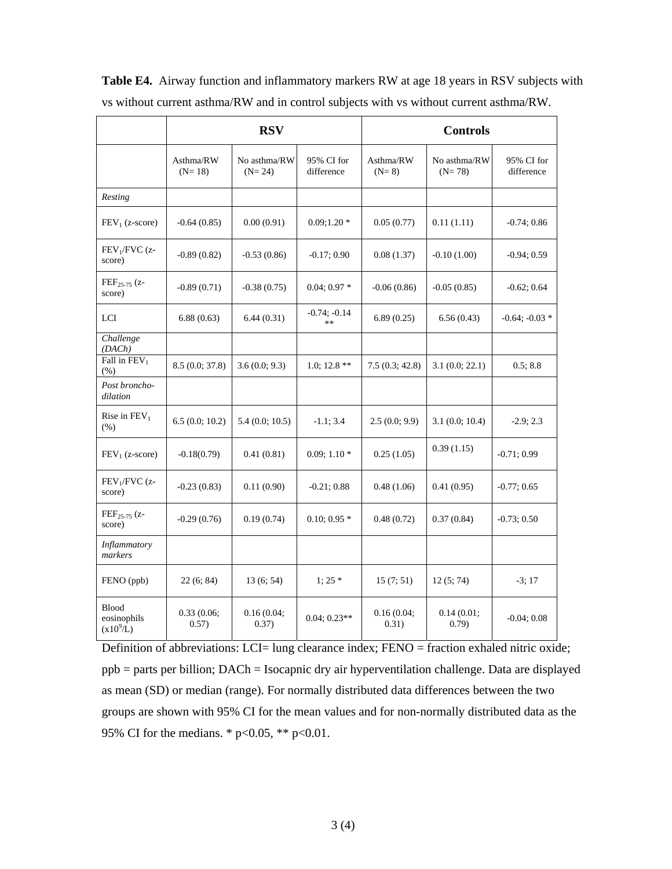|                                              | <b>RSV</b>            |                          |                          | <b>Controls</b>      |                          |                          |  |
|----------------------------------------------|-----------------------|--------------------------|--------------------------|----------------------|--------------------------|--------------------------|--|
|                                              | Asthma/RW<br>$(N=18)$ | No asthma/RW<br>$(N=24)$ | 95% CI for<br>difference | Asthma/RW<br>$(N=8)$ | No asthma/RW<br>$(N=78)$ | 95% CI for<br>difference |  |
| Resting                                      |                       |                          |                          |                      |                          |                          |  |
| $FEV1$ (z-score)                             | $-0.64(0.85)$         | 0.00(0.91)               | $0.09;1.20*$             | 0.05(0.77)           | 0.11(1.11)               | $-0.74; 0.86$            |  |
| $FEV1/FVC$ (z-<br>score)                     | $-0.89(0.82)$         | $-0.53(0.86)$            | $-0.17; 0.90$            | 0.08(1.37)           | $-0.10(1.00)$            | $-0.94; 0.59$            |  |
| FEF <sub>25-75</sub> (z-<br>score)           | $-0.89(0.71)$         | $-0.38(0.75)$            | $0.04; 0.97*$            | $-0.06(0.86)$        | $-0.05(0.85)$            | $-0.62; 0.64$            |  |
| LCI                                          | 6.88(0.63)            | 6.44(0.31)               | $-0.74; -0.14$<br>$**$   | 6.89(0.25)           | 6.56(0.43)               | $-0.64; -0.03*$          |  |
| Challenge<br>(DACh)                          |                       |                          |                          |                      |                          |                          |  |
| Fall in $FEV1$<br>(% )                       | 8.5(0.0; 37.8)        | 3.6(0.0; 9.3)            | 1.0; 12.8 $**$           | 7.5(0.3; 42.8)       | 3.1(0.0; 22.1)           | 0.5; 8.8                 |  |
| Post broncho-<br>dilation                    |                       |                          |                          |                      |                          |                          |  |
| Rise in $FEV1$<br>(% )                       | 6.5(0.0; 10.2)        | 5.4(0.0; 10.5)           | $-1.1; 3.4$              | 2.5(0.0; 9.9)        | 3.1(0.0; 10.4)           | $-2.9; 2.3$              |  |
| $FEV_1$ (z-score)                            | $-0.18(0.79)$         | 0.41(0.81)               | $0.09; 1.10*$            | 0.25(1.05)           | 0.39(1.15)               | $-0.71; 0.99$            |  |
| $FEV1/FVC$ (z-<br>score)                     | $-0.23(0.83)$         | 0.11(0.90)               | $-0.21; 0.88$            | 0.48(1.06)           | 0.41(0.95)               | $-0.77; 0.65$            |  |
| $FEF_{25-75}$ (z-<br>score)                  | $-0.29(0.76)$         | 0.19(0.74)               | $0.10; 0.95*$            | 0.48(0.72)           | 0.37(0.84)               | $-0.73; 0.50$            |  |
| Inflammatory<br>markers                      |                       |                          |                          |                      |                          |                          |  |
| FENO (ppb)                                   | 22(6; 84)             | 13(6; 54)                | $1:25*$                  | 15(7; 51)            | 12(5; 74)                | $-3;17$                  |  |
| <b>Blood</b><br>eosinophils<br>$(x10^{9}/L)$ | 0.33(0.06;<br>0.57)   | 0.16(0.04;<br>0.37)      | $0.04; 0.23**$           | 0.16(0.04;<br>0.31)  | 0.14(0.01;<br>0.79)      | $-0.04; 0.08$            |  |

**Table E4.** Airway function and inflammatory markers RW at age 18 years in RSV subjects with vs without current asthma/RW and in control subjects with vs without current asthma/RW.

Definition of abbreviations: LCI= lung clearance index; FENO = fraction exhaled nitric oxide; ppb = parts per billion; DACh = Isocapnic dry air hyperventilation challenge. Data are displayed as mean (SD) or median (range). For normally distributed data differences between the two groups are shown with 95% CI for the mean values and for non-normally distributed data as the 95% CI for the medians. \*  $p<0.05$ , \*\*  $p<0.01$ .